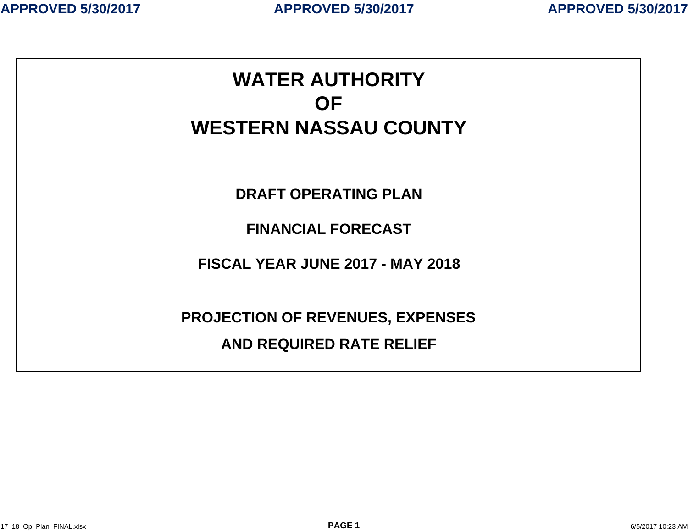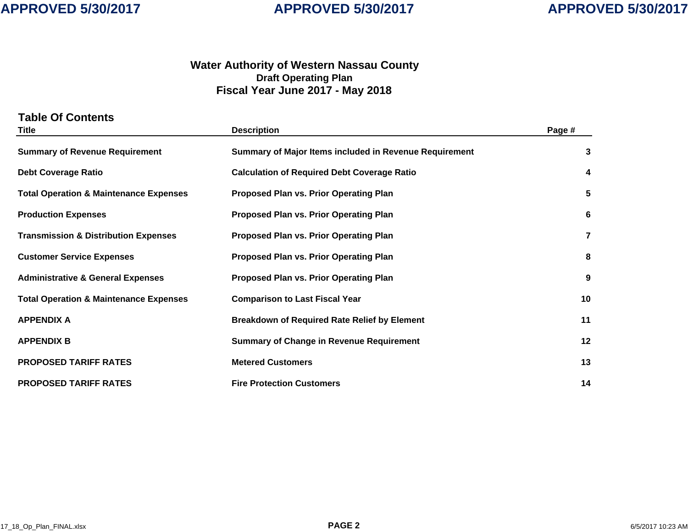### **Water Authority of Western Nassau Count y Draft Operating Plan Fiscal Year June 2017 - May 2018**

| <b>Table Of Contents</b><br><b>Title</b>          | <b>Description</b>                                     | Page # |
|---------------------------------------------------|--------------------------------------------------------|--------|
| <b>Summary of Revenue Requirement</b>             | Summary of Major Items included in Revenue Requirement | 3      |
| <b>Debt Coverage Ratio</b>                        | <b>Calculation of Required Debt Coverage Ratio</b>     | 4      |
| <b>Total Operation &amp; Maintenance Expenses</b> | Proposed Plan vs. Prior Operating Plan                 | 5      |
| <b>Production Expenses</b>                        | <b>Proposed Plan vs. Prior Operating Plan</b>          | 6      |
| <b>Transmission &amp; Distribution Expenses</b>   | <b>Proposed Plan vs. Prior Operating Plan</b>          | 7      |
| <b>Customer Service Expenses</b>                  | Proposed Plan vs. Prior Operating Plan                 | 8      |
| <b>Administrative &amp; General Expenses</b>      | <b>Proposed Plan vs. Prior Operating Plan</b>          | 9      |
| <b>Total Operation &amp; Maintenance Expenses</b> | <b>Comparison to Last Fiscal Year</b>                  | 10     |
| <b>APPENDIX A</b>                                 | <b>Breakdown of Required Rate Relief by Element</b>    | 11     |
| <b>APPENDIX B</b>                                 | <b>Summary of Change in Revenue Requirement</b>        | 12     |
| <b>PROPOSED TARIFF RATES</b>                      | <b>Metered Customers</b>                               | 13     |
| <b>PROPOSED TARIFF RATES</b>                      | <b>Fire Protection Customers</b>                       | 14     |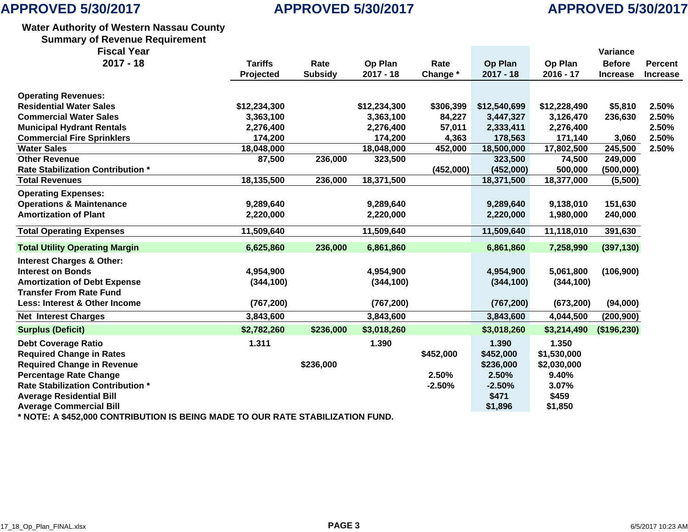# **APPROVED 5/30/2017**

### **Water Authority of Western Nassau County**

**Summary of Revenue Requirement**

| <b>Fiscal Year</b> |  |
|--------------------|--|
|--------------------|--|

| <b>Fiscal Year</b>                                                             |                |                |              |           |              |              | Variance        |                 |
|--------------------------------------------------------------------------------|----------------|----------------|--------------|-----------|--------------|--------------|-----------------|-----------------|
| $2017 - 18$                                                                    | <b>Tariffs</b> | Rate           | Op Plan      | Rate      | Op Plan      | Op Plan      | <b>Before</b>   | <b>Percent</b>  |
|                                                                                | Projected      | <b>Subsidy</b> | $2017 - 18$  | Change *  | $2017 - 18$  | $2016 - 17$  | <b>Increase</b> | <b>Increase</b> |
| <b>Operating Revenues:</b>                                                     |                |                |              |           |              |              |                 |                 |
| <b>Residential Water Sales</b>                                                 | \$12,234,300   |                | \$12,234,300 | \$306,399 | \$12,540,699 | \$12,228,490 | \$5,810         | 2.50%           |
| <b>Commercial Water Sales</b>                                                  | 3,363,100      |                | 3,363,100    | 84,227    | 3,447,327    | 3,126,470    | 236,630         | 2.50%           |
| <b>Municipal Hydrant Rentals</b>                                               | 2,276,400      |                | 2,276,400    | 57,011    | 2,333,411    | 2,276,400    |                 | 2.50%           |
| <b>Commercial Fire Sprinklers</b>                                              | 174,200        |                | 174,200      | 4,363     | 178,563      | 171,140      | 3,060           | 2.50%           |
| <b>Water Sales</b>                                                             | 18,048,000     |                | 18,048,000   | 452,000   | 18,500,000   | 17,802,500   | 245,500         | 2.50%           |
| <b>Other Revenue</b>                                                           | 87,500         | 236,000        | 323,500      |           | 323,500      | 74,500       | 249,000         |                 |
| <b>Rate Stabilization Contribution *</b>                                       |                |                |              | (452,000) | (452,000)    | 500,000      | (500,000)       |                 |
| <b>Total Revenues</b>                                                          | 18,135,500     | 236,000        | 18,371,500   |           | 18,371,500   | 18,377,000   | (5,500)         |                 |
| <b>Operating Expenses:</b>                                                     |                |                |              |           |              |              |                 |                 |
| <b>Operations &amp; Maintenance</b>                                            | 9,289,640      |                | 9,289,640    |           | 9,289,640    | 9,138,010    | 151,630         |                 |
| <b>Amortization of Plant</b>                                                   | 2,220,000      |                | 2,220,000    |           | 2,220,000    | 1,980,000    | 240,000         |                 |
| <b>Total Operating Expenses</b>                                                | 11,509,640     |                | 11,509,640   |           | 11,509,640   | 11,118,010   | 391,630         |                 |
| <b>Total Utility Operating Margin</b>                                          | 6,625,860      | 236,000        | 6,861,860    |           | 6,861,860    | 7,258,990    | (397, 130)      |                 |
| <b>Interest Charges &amp; Other:</b>                                           |                |                |              |           |              |              |                 |                 |
| <b>Interest on Bonds</b>                                                       | 4,954,900      |                | 4,954,900    |           | 4,954,900    | 5,061,800    | (106, 900)      |                 |
| <b>Amortization of Debt Expense</b>                                            | (344, 100)     |                | (344, 100)   |           | (344, 100)   | (344, 100)   |                 |                 |
| <b>Transfer From Rate Fund</b>                                                 |                |                |              |           |              |              |                 |                 |
| Less: Interest & Other Income                                                  | (767, 200)     |                | (767, 200)   |           | (767, 200)   | (673, 200)   | (94,000)        |                 |
| <b>Net Interest Charges</b>                                                    | 3,843,600      |                | 3,843,600    |           | 3,843,600    | 4,044,500    | (200, 900)      |                 |
| <b>Surplus (Deficit)</b>                                                       | \$2,782,260    | \$236,000      | \$3,018,260  |           | \$3,018,260  | \$3,214,490  | (\$196,230)     |                 |
| <b>Debt Coverage Ratio</b>                                                     | 1.311          |                | 1.390        |           | 1.390        | 1.350        |                 |                 |
| <b>Required Change in Rates</b>                                                |                |                |              | \$452,000 | \$452,000    | \$1,530,000  |                 |                 |
| <b>Required Change in Revenue</b>                                              |                | \$236,000      |              |           | \$236,000    | \$2,030,000  |                 |                 |
| <b>Percentage Rate Change</b>                                                  |                |                |              | 2.50%     | 2.50%        | 9.40%        |                 |                 |
| <b>Rate Stabilization Contribution *</b>                                       |                |                |              | $-2.50%$  | $-2.50%$     | 3.07%        |                 |                 |
| <b>Average Residential Bill</b>                                                |                |                |              |           | \$471        | \$459        |                 |                 |
| <b>Average Commercial Bill</b>                                                 |                |                |              |           | \$1,896      | \$1,850      |                 |                 |
| * NOTE: A \$452,000 CONTRIBUTION IS BEING MADE TO OUR RATE STABILIZATION FUND. |                |                |              |           |              |              |                 |                 |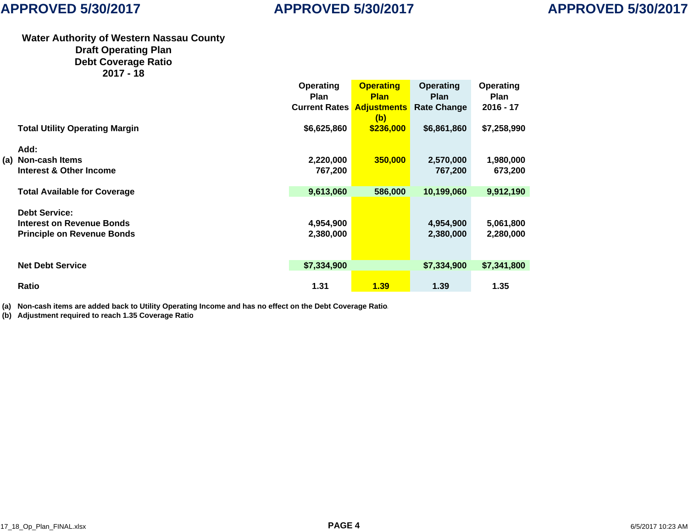#### **Water Authority of Western Nassau County Draft Operating Plan Debt Coverage Ratio 2017 - 18**

|                                       | Operating            | <b>Operating</b>   | Operating          | Operating   |
|---------------------------------------|----------------------|--------------------|--------------------|-------------|
|                                       | <b>Plan</b>          | <b>Plan</b>        | <b>Plan</b>        | <b>Plan</b> |
|                                       | <b>Current Rates</b> | <b>Adjustments</b> | <b>Rate Change</b> | $2016 - 17$ |
|                                       |                      | (b)                |                    |             |
| <b>Total Utility Operating Margin</b> | \$6,625,860          | \$236,000          | \$6,861,860        | \$7,258,990 |
|                                       |                      |                    |                    |             |
| Add:                                  |                      |                    |                    |             |
| (a) Non-cash Items                    | 2,220,000            | 350,000            | 2,570,000          | 1,980,000   |
| Interest & Other Income               | 767,200              |                    | 767,200            | 673,200     |
|                                       |                      |                    |                    |             |
| <b>Total Available for Coverage</b>   | 9,613,060            | 586,000            | 10,199,060         | 9,912,190   |
|                                       |                      |                    |                    |             |
| <b>Debt Service:</b>                  |                      |                    |                    |             |
| <b>Interest on Revenue Bonds</b>      | 4,954,900            |                    | 4,954,900          | 5,061,800   |
| <b>Principle on Revenue Bonds</b>     | 2,380,000            |                    | 2,380,000          | 2,280,000   |
|                                       |                      |                    |                    |             |
|                                       |                      |                    |                    |             |
| <b>Net Debt Service</b>               | \$7,334,900          |                    | \$7,334,900        | \$7,341,800 |
|                                       |                      |                    |                    |             |
| Ratio                                 | 1.31                 | 1.39               | 1.39               | 1.35        |
|                                       |                      |                    |                    |             |

**(a) Non-cash items are added back to Utility Operating Income and has no effect on the Debt Coverage Ratio.**

**(b) Adjustment required to reach 1.35 Coverage Rati o**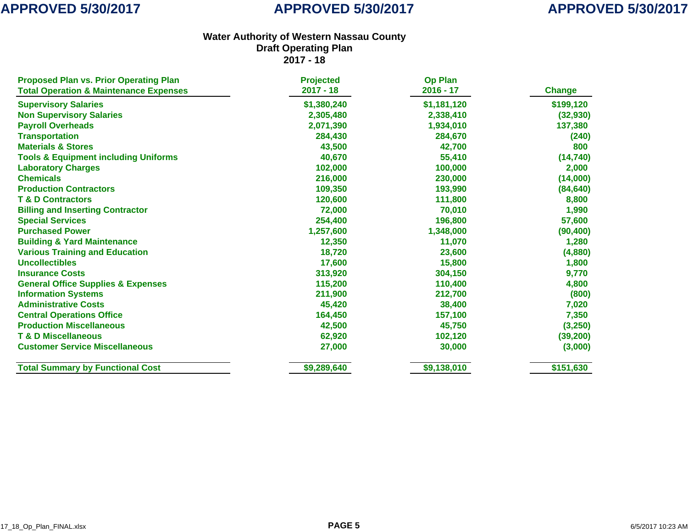| <b>Proposed Plan vs. Prior Operating Plan</b>     | <b>Projected</b> | <b>Op Plan</b> |               |
|---------------------------------------------------|------------------|----------------|---------------|
| <b>Total Operation &amp; Maintenance Expenses</b> | $2017 - 18$      | $2016 - 17$    | <b>Change</b> |
| <b>Supervisory Salaries</b>                       | \$1,380,240      | \$1,181,120    | \$199,120     |
| <b>Non Supervisory Salaries</b>                   | 2,305,480        | 2,338,410      | (32, 930)     |
| <b>Payroll Overheads</b>                          | 2,071,390        | 1,934,010      | 137,380       |
| <b>Transportation</b>                             | 284,430          | 284,670        | (240)         |
| <b>Materials &amp; Stores</b>                     | 43,500           | 42,700         | 800           |
| <b>Tools &amp; Equipment including Uniforms</b>   | 40,670           | 55,410         | (14, 740)     |
| <b>Laboratory Charges</b>                         | 102,000          | 100,000        | 2,000         |
| <b>Chemicals</b>                                  | 216,000          | 230,000        | (14,000)      |
| <b>Production Contractors</b>                     | 109,350          | 193,990        | (84, 640)     |
| <b>T &amp; D Contractors</b>                      | 120,600          | 111,800        | 8,800         |
| <b>Billing and Inserting Contractor</b>           | 72,000           | 70,010         | 1,990         |
| <b>Special Services</b>                           | 254,400          | 196,800        | 57,600        |
| <b>Purchased Power</b>                            | 1,257,600        | 1,348,000      | (90, 400)     |
| <b>Building &amp; Yard Maintenance</b>            | 12,350           | 11,070         | 1,280         |
| <b>Various Training and Education</b>             | 18,720           | 23,600         | (4,880)       |
| <b>Uncollectibles</b>                             | 17,600           | 15,800         | 1,800         |
| <b>Insurance Costs</b>                            | 313,920          | 304,150        | 9,770         |
| <b>General Office Supplies &amp; Expenses</b>     | 115,200          | 110,400        | 4,800         |
| <b>Information Systems</b>                        | 211,900          | 212,700        | (800)         |
| <b>Administrative Costs</b>                       | 45,420           | 38,400         | 7,020         |
| <b>Central Operations Office</b>                  | 164,450          | 157,100        | 7,350         |
| <b>Production Miscellaneous</b>                   | 42,500           | 45,750         | (3,250)       |
| <b>T &amp; D Miscellaneous</b>                    | 62,920           | 102,120        | (39, 200)     |
| <b>Customer Service Miscellaneous</b>             | 27,000           | 30,000         | (3,000)       |
| <b>Total Summary by Functional Cost</b>           | \$9,289,640      | \$9,138,010    | \$151,630     |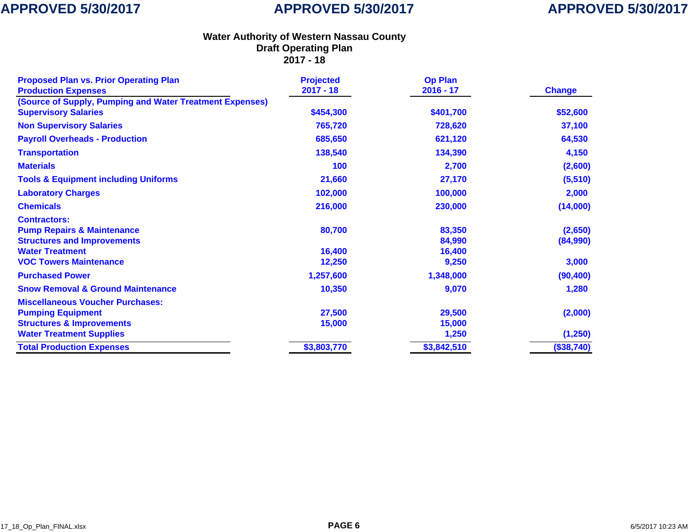| <b>Proposed Plan vs. Prior Operating Plan</b><br><b>Production Expenses</b> | <b>Projected</b><br>$2017 - 18$ | <b>Op Plan</b><br>$2016 - 17$ | <b>Change</b> |
|-----------------------------------------------------------------------------|---------------------------------|-------------------------------|---------------|
| (Source of Supply, Pumping and Water Treatment Expenses)                    |                                 |                               |               |
| <b>Supervisory Salaries</b>                                                 | \$454,300                       | \$401,700                     | \$52,600      |
| <b>Non Supervisory Salaries</b>                                             | 765,720                         | 728,620                       | 37,100        |
| <b>Payroll Overheads - Production</b>                                       | 685,650                         | 621,120                       | 64,530        |
| <b>Transportation</b>                                                       | 138,540                         | 134,390                       | 4,150         |
| <b>Materials</b>                                                            | 100                             | 2,700                         | (2,600)       |
| <b>Tools &amp; Equipment including Uniforms</b>                             | 21,660                          | 27,170                        | (5, 510)      |
| <b>Laboratory Charges</b>                                                   | 102,000                         | 100,000                       | 2,000         |
| <b>Chemicals</b>                                                            | 216,000                         | 230,000                       | (14,000)      |
| <b>Contractors:</b>                                                         |                                 |                               |               |
| <b>Pump Repairs &amp; Maintenance</b>                                       | 80,700                          | 83,350                        | (2,650)       |
| <b>Structures and Improvements</b>                                          |                                 | 84,990                        | (84,990)      |
| <b>Water Treatment</b>                                                      | 16,400                          | 16,400                        |               |
| <b>VOC Towers Maintenance</b>                                               | 12,250                          | 9,250                         | 3,000         |
| <b>Purchased Power</b>                                                      | 1,257,600                       | 1,348,000                     | (90, 400)     |
| <b>Snow Removal &amp; Ground Maintenance</b>                                | 10,350                          | 9,070                         | 1,280         |
| <b>Miscellaneous Voucher Purchases:</b>                                     |                                 |                               |               |
| <b>Pumping Equipment</b>                                                    | 27,500                          | 29,500                        | (2,000)       |
| <b>Structures &amp; Improvements</b>                                        | 15,000                          | 15,000                        |               |
| <b>Water Treatment Supplies</b>                                             |                                 | 1,250                         | (1, 250)      |
| <b>Total Production Expenses</b>                                            | \$3,803,770                     | \$3,842,510                   | (\$38,740)    |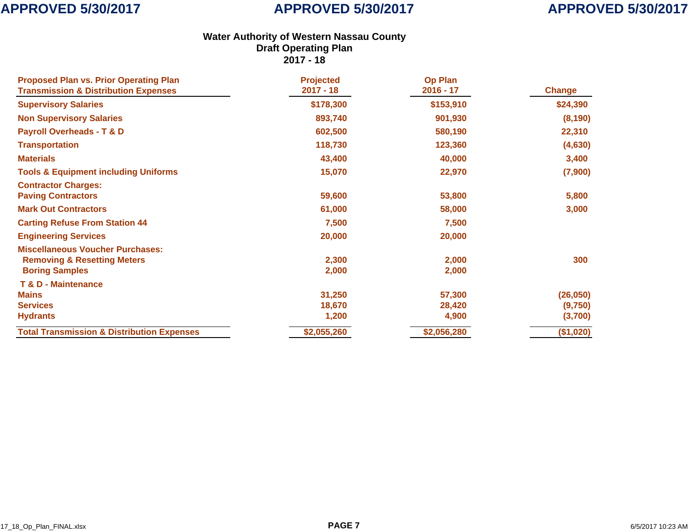| <b>Proposed Plan vs. Prior Operating Plan</b><br><b>Transmission &amp; Distribution Expenses</b>           | <b>Projected</b><br>$2017 - 18$ | <b>Op Plan</b><br>$2016 - 17$ | <b>Change</b> |
|------------------------------------------------------------------------------------------------------------|---------------------------------|-------------------------------|---------------|
| <b>Supervisory Salaries</b>                                                                                | \$178,300                       | \$153,910                     | \$24,390      |
| <b>Non Supervisory Salaries</b>                                                                            | 893,740                         | 901,930                       | (8, 190)      |
| <b>Payroll Overheads - T &amp; D</b>                                                                       | 602,500                         | 580,190                       | 22,310        |
| <b>Transportation</b>                                                                                      | 118,730                         | 123,360                       | (4,630)       |
| <b>Materials</b>                                                                                           | 43,400                          | 40,000                        | 3,400         |
| <b>Tools &amp; Equipment including Uniforms</b>                                                            | 15,070                          | 22,970                        | (7,900)       |
| <b>Contractor Charges:</b><br><b>Paving Contractors</b>                                                    | 59,600                          | 53,800                        | 5,800         |
| <b>Mark Out Contractors</b>                                                                                | 61,000                          | 58,000                        | 3,000         |
| <b>Carting Refuse From Station 44</b>                                                                      | 7,500                           | 7,500                         |               |
| <b>Engineering Services</b>                                                                                | 20,000                          | 20,000                        |               |
| <b>Miscellaneous Voucher Purchases:</b><br><b>Removing &amp; Resetting Meters</b><br><b>Boring Samples</b> | 2,300<br>2,000                  | 2,000<br>2,000                | 300           |
| <b>T &amp; D - Maintenance</b>                                                                             |                                 |                               |               |
| <b>Mains</b>                                                                                               | 31,250                          | 57,300                        | (26, 050)     |
| <b>Services</b>                                                                                            | 18,670                          | 28,420                        | (9,750)       |
| <b>Hydrants</b>                                                                                            | 1,200                           | 4,900                         | (3,700)       |
| <b>Total Transmission &amp; Distribution Expenses</b>                                                      | \$2,055,260                     | \$2,056,280                   | (\$1,020)     |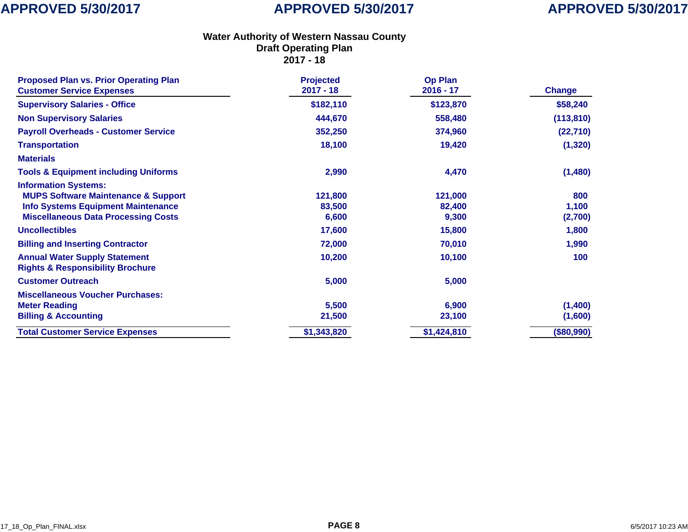# **APPROVED 5/30/2017**

| <b>Proposed Plan vs. Prior Operating Plan</b><br><b>Customer Service Expenses</b>                                                                                        | <b>Projected</b><br>$2017 - 18$ | <b>Op Plan</b><br>$2016 - 17$ | <b>Change</b>           |
|--------------------------------------------------------------------------------------------------------------------------------------------------------------------------|---------------------------------|-------------------------------|-------------------------|
| <b>Supervisory Salaries - Office</b>                                                                                                                                     | \$182,110                       | \$123,870                     | \$58,240                |
| <b>Non Supervisory Salaries</b>                                                                                                                                          | 444,670                         | 558,480                       | (113, 810)              |
| <b>Payroll Overheads - Customer Service</b>                                                                                                                              | 352,250                         | 374,960                       | (22, 710)               |
| <b>Transportation</b>                                                                                                                                                    | 18,100                          | 19,420                        | (1, 320)                |
| <b>Materials</b>                                                                                                                                                         |                                 |                               |                         |
| <b>Tools &amp; Equipment including Uniforms</b>                                                                                                                          | 2,990                           | 4,470                         | (1,480)                 |
| <b>Information Systems:</b><br><b>MUPS Software Maintenance &amp; Support</b><br><b>Info Systems Equipment Maintenance</b><br><b>Miscellaneous Data Processing Costs</b> | 121,800<br>83,500<br>6,600      | 121,000<br>82,400<br>9,300    | 800<br>1,100<br>(2,700) |
| <b>Uncollectibles</b>                                                                                                                                                    | 17,600                          | 15,800                        | 1,800                   |
| <b>Billing and Inserting Contractor</b>                                                                                                                                  | 72,000                          | 70,010                        | 1,990                   |
| <b>Annual Water Supply Statement</b><br><b>Rights &amp; Responsibility Brochure</b>                                                                                      | 10,200                          | 10,100                        | 100                     |
| <b>Customer Outreach</b>                                                                                                                                                 | 5,000                           | 5,000                         |                         |
| <b>Miscellaneous Voucher Purchases:</b><br><b>Meter Reading</b><br><b>Billing &amp; Accounting</b>                                                                       | 5,500<br>21,500                 | 6,900<br>23,100               | (1,400)<br>(1,600)      |
| <b>Total Customer Service Expenses</b>                                                                                                                                   | \$1,343,820                     | \$1,424,810                   | (\$80,990)              |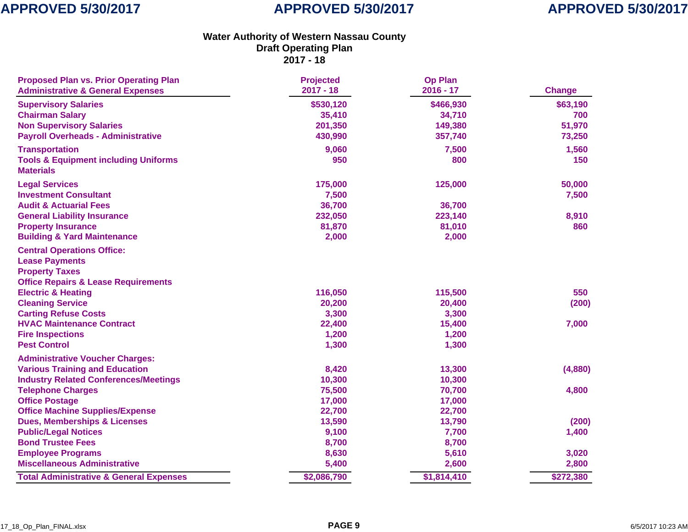| <b>Proposed Plan vs. Prior Operating Plan</b><br><b>Administrative &amp; General Expenses</b> | <b>Projected</b><br>$2017 - 18$ | <b>Op Plan</b><br>$2016 - 17$ | <b>Change</b> |
|-----------------------------------------------------------------------------------------------|---------------------------------|-------------------------------|---------------|
| <b>Supervisory Salaries</b>                                                                   | \$530,120                       | \$466,930                     | \$63,190      |
| <b>Chairman Salary</b>                                                                        | 35,410                          | 34,710                        | 700           |
| <b>Non Supervisory Salaries</b>                                                               | 201,350                         | 149,380                       | 51,970        |
| <b>Payroll Overheads - Administrative</b>                                                     | 430,990                         | 357,740                       | 73,250        |
| <b>Transportation</b>                                                                         | 9,060                           | 7,500                         | 1,560         |
| <b>Tools &amp; Equipment including Uniforms</b><br><b>Materials</b>                           | 950                             | 800                           | 150           |
| <b>Legal Services</b>                                                                         | 175,000                         | 125,000                       | 50,000        |
| <b>Investment Consultant</b>                                                                  | 7,500                           |                               | 7,500         |
| <b>Audit &amp; Actuarial Fees</b>                                                             | 36,700                          | 36,700                        |               |
| <b>General Liability Insurance</b>                                                            | 232,050                         | 223,140                       | 8,910         |
| <b>Property Insurance</b>                                                                     | 81,870                          | 81,010                        | 860           |
| <b>Building &amp; Yard Maintenance</b>                                                        | 2,000                           | 2,000                         |               |
| <b>Central Operations Office:</b>                                                             |                                 |                               |               |
| <b>Lease Payments</b>                                                                         |                                 |                               |               |
| <b>Property Taxes</b>                                                                         |                                 |                               |               |
| <b>Office Repairs &amp; Lease Requirements</b>                                                |                                 |                               |               |
| <b>Electric &amp; Heating</b>                                                                 | 116,050                         | 115,500                       | 550           |
| <b>Cleaning Service</b>                                                                       | 20,200                          | 20,400                        | (200)         |
| <b>Carting Refuse Costs</b>                                                                   | 3,300                           | 3,300                         |               |
| <b>HVAC Maintenance Contract</b>                                                              | 22,400                          | 15,400                        | 7,000         |
| <b>Fire Inspections</b>                                                                       | 1,200                           | 1,200                         |               |
| <b>Pest Control</b>                                                                           | 1,300                           | 1,300                         |               |
| <b>Administrative Voucher Charges:</b>                                                        |                                 |                               |               |
| <b>Various Training and Education</b>                                                         | 8,420                           | 13,300                        | (4,880)       |
| <b>Industry Related Conferences/Meetings</b>                                                  | 10,300                          | 10,300                        |               |
| <b>Telephone Charges</b>                                                                      | 75,500                          | 70,700                        | 4,800         |
| <b>Office Postage</b>                                                                         | 17,000                          | 17,000                        |               |
| <b>Office Machine Supplies/Expense</b>                                                        | 22,700                          | 22,700                        |               |
| <b>Dues, Memberships &amp; Licenses</b>                                                       | 13,590                          | 13,790                        | (200)         |
| <b>Public/Legal Notices</b>                                                                   | 9,100                           | 7,700                         | 1,400         |
| <b>Bond Trustee Fees</b>                                                                      | 8,700                           | 8,700                         |               |
| <b>Employee Programs</b>                                                                      | 8,630                           | 5,610                         | 3,020         |
| <b>Miscellaneous Administrative</b>                                                           | 5,400                           | 2,600                         | 2,800         |
| <b>Total Administrative &amp; General Expenses</b>                                            | \$2,086,790                     | \$1,814,410                   | \$272,380     |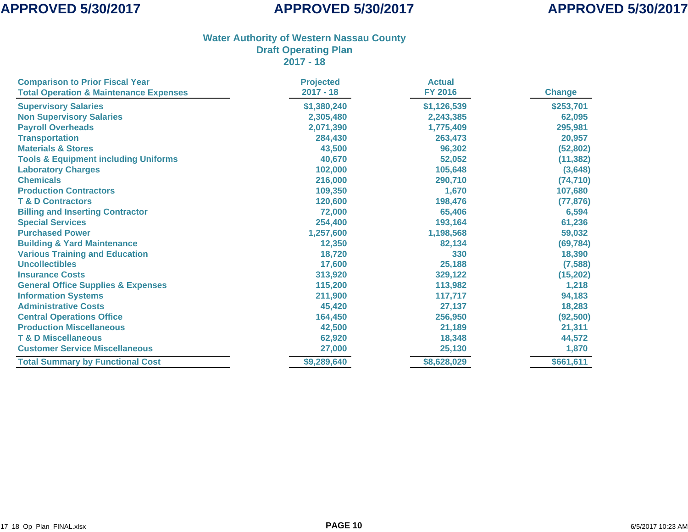| <b>Comparison to Prior Fiscal Year</b>            | <b>Projected</b> | <b>Actual</b>  |               |
|---------------------------------------------------|------------------|----------------|---------------|
| <b>Total Operation &amp; Maintenance Expenses</b> | $2017 - 18$      | <b>FY 2016</b> | <b>Change</b> |
| <b>Supervisory Salaries</b>                       | \$1,380,240      | \$1,126,539    | \$253,701     |
| <b>Non Supervisory Salaries</b>                   | 2,305,480        | 2,243,385      | 62,095        |
| <b>Payroll Overheads</b>                          | 2,071,390        | 1,775,409      | 295,981       |
| <b>Transportation</b>                             | 284,430          | 263,473        | 20,957        |
| <b>Materials &amp; Stores</b>                     | 43,500           | 96,302         | (52, 802)     |
| <b>Tools &amp; Equipment including Uniforms</b>   | 40,670           | 52,052         | (11, 382)     |
| <b>Laboratory Charges</b>                         | 102,000          | 105,648        | (3,648)       |
| <b>Chemicals</b>                                  | 216,000          | 290,710        | (74, 710)     |
| <b>Production Contractors</b>                     | 109,350          | 1,670          | 107,680       |
| <b>T &amp; D Contractors</b>                      | 120,600          | 198,476        | (77, 876)     |
| <b>Billing and Inserting Contractor</b>           | 72,000           | 65,406         | 6,594         |
| <b>Special Services</b>                           | 254,400          | 193,164        | 61,236        |
| <b>Purchased Power</b>                            | 1,257,600        | 1,198,568      | 59,032        |
| <b>Building &amp; Yard Maintenance</b>            | 12,350           | 82,134         | (69, 784)     |
| <b>Various Training and Education</b>             | 18,720           | 330            | 18,390        |
| <b>Uncollectibles</b>                             | 17,600           | 25,188         | (7, 588)      |
| <b>Insurance Costs</b>                            | 313,920          | 329,122        | (15,202)      |
| <b>General Office Supplies &amp; Expenses</b>     | 115,200          | 113,982        | 1,218         |
| <b>Information Systems</b>                        | 211,900          | 117,717        | 94,183        |
| <b>Administrative Costs</b>                       | 45,420           | 27,137         | 18,283        |
| <b>Central Operations Office</b>                  | 164,450          | 256,950        | (92, 500)     |
| <b>Production Miscellaneous</b>                   | 42,500           | 21,189         | 21,311        |
| <b>T &amp; D Miscellaneous</b>                    | 62,920           | 18,348         | 44,572        |
| <b>Customer Service Miscellaneous</b>             | 27,000           | 25,130         | 1,870         |
| <b>Total Summary by Functional Cost</b>           | \$9,289,640      | \$8,628,029    | \$661,611     |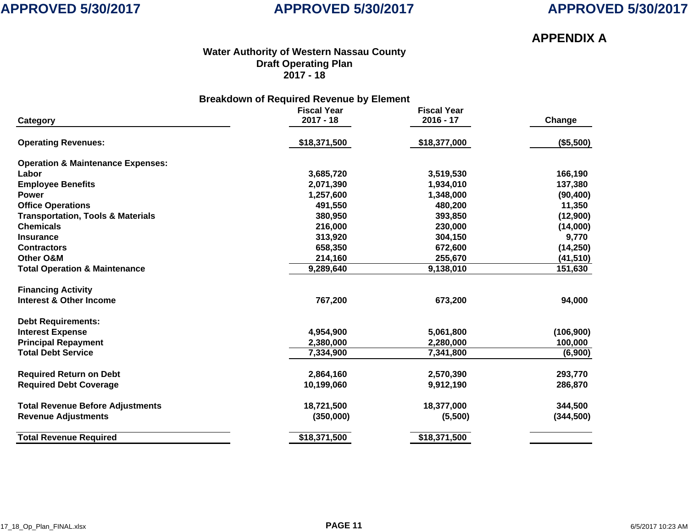## **APPROVED 5/30/2017**

## **APPENDIX A**

#### **Water Authority of Western Nassau County Draft Operating Plan 2017 - 18**

| <b>Breakdown of Required Revenue by Element</b> |                                   |                                   |           |  |  |
|-------------------------------------------------|-----------------------------------|-----------------------------------|-----------|--|--|
| Category                                        | <b>Fiscal Year</b><br>$2017 - 18$ | <b>Fiscal Year</b><br>$2016 - 17$ | Change    |  |  |
| <b>Operating Revenues:</b>                      | \$18,371,500                      | \$18,377,000                      | (\$5,500) |  |  |
| <b>Operation &amp; Maintenance Expenses:</b>    |                                   |                                   |           |  |  |
| Labor                                           | 3,685,720                         | 3,519,530                         | 166,190   |  |  |
| <b>Employee Benefits</b>                        | 2,071,390                         | 1,934,010                         | 137,380   |  |  |
| <b>Power</b>                                    | 1,257,600                         | 1,348,000                         | (90, 400) |  |  |
| <b>Office Operations</b>                        | 491.550                           | 480,200                           | 11,350    |  |  |
| <b>Transportation, Tools &amp; Materials</b>    | 380,950                           | 393,850                           | (12,900)  |  |  |
| <b>Chemicals</b>                                | 216,000                           | 230,000                           | (14,000)  |  |  |
| <b>Insurance</b>                                | 313,920                           | 304,150                           | 9,770     |  |  |

**Contractors 658,350 672,600 (14,250)**

| Other O&M                                | 214,160      | 255,670      | (41,510)   |
|------------------------------------------|--------------|--------------|------------|
| <b>Total Operation &amp; Maintenance</b> | 9,289,640    | 9,138,010    | 151,630    |
| <b>Financing Activity</b>                |              |              |            |
| <b>Interest &amp; Other Income</b>       | 767,200      | 673,200      | 94,000     |
| <b>Debt Requirements:</b>                |              |              |            |
| <b>Interest Expense</b>                  | 4,954,900    | 5,061,800    | (106, 900) |
| <b>Principal Repayment</b>               | 2,380,000    | 2,280,000    | 100,000    |
| <b>Total Debt Service</b>                | 7,334,900    | 7,341,800    | (6,900)    |
| <b>Required Return on Debt</b>           | 2,864,160    | 2,570,390    | 293,770    |
| <b>Required Debt Coverage</b>            | 10,199,060   | 9,912,190    | 286,870    |
| <b>Total Revenue Before Adjustments</b>  | 18,721,500   | 18,377,000   | 344,500    |
| <b>Revenue Adjustments</b>               | (350,000)    | (5,500)      | (344, 500) |
| <b>Total Revenue Required</b>            | \$18,371,500 | \$18,371,500 |            |
|                                          |              |              |            |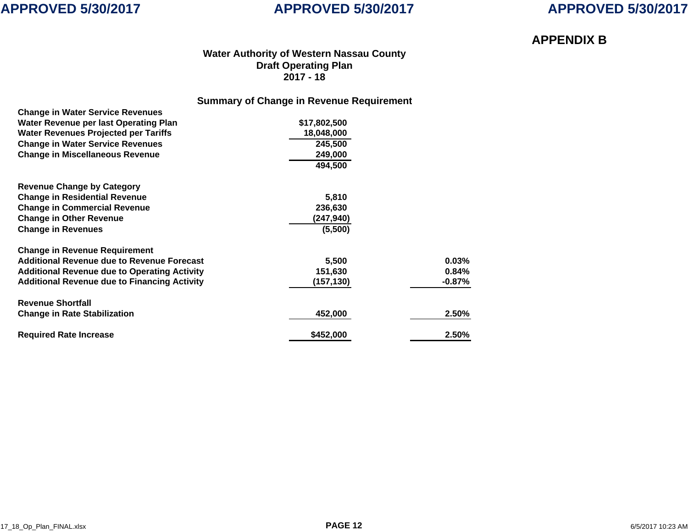

## **APPROVED 5/30/2017**

## **APPENDIX B**

### **Water Authority of Western Nassau County Draft Operating Plan 2017 - 18**

### **Summary of Change in Revenue Requirement**

| <b>Change in Water Service Revenues</b>             |              |           |
|-----------------------------------------------------|--------------|-----------|
| Water Revenue per last Operating Plan               | \$17,802,500 |           |
| <b>Water Revenues Projected per Tariffs</b>         | 18,048,000   |           |
| <b>Change in Water Service Revenues</b>             | 245,500      |           |
| <b>Change in Miscellaneous Revenue</b>              | 249,000      |           |
|                                                     | 494,500      |           |
| <b>Revenue Change by Category</b>                   |              |           |
| <b>Change in Residential Revenue</b>                | 5,810        |           |
| <b>Change in Commercial Revenue</b>                 | 236,630      |           |
| <b>Change in Other Revenue</b>                      | (247,940)    |           |
| <b>Change in Revenues</b>                           | (5,500)      |           |
| <b>Change in Revenue Requirement</b>                |              |           |
| <b>Additional Revenue due to Revenue Forecast</b>   | 5,500        | 0.03%     |
| <b>Additional Revenue due to Operating Activity</b> | 151,630      | 0.84%     |
| <b>Additional Revenue due to Financing Activity</b> | (157, 130)   | $-0.87\%$ |
| <b>Revenue Shortfall</b>                            |              |           |
| <b>Change in Rate Stabilization</b>                 | 452,000      | 2.50%     |
| <b>Required Rate Increase</b>                       | \$452,000    | 2.50%     |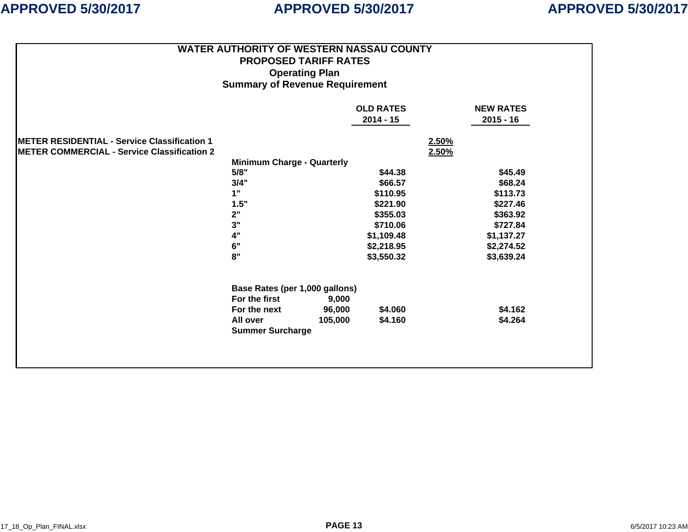|                                                      | <b>WATER AUTHORITY OF WESTERN NASSAU COUNTY</b> |         |                  |                  |  |  |
|------------------------------------------------------|-------------------------------------------------|---------|------------------|------------------|--|--|
|                                                      | <b>PROPOSED TARIFF RATES</b>                    |         |                  |                  |  |  |
|                                                      | <b>Operating Plan</b>                           |         |                  |                  |  |  |
|                                                      | <b>Summary of Revenue Requirement</b>           |         |                  |                  |  |  |
|                                                      |                                                 |         |                  |                  |  |  |
|                                                      |                                                 |         | <b>OLD RATES</b> | <b>NEW RATES</b> |  |  |
|                                                      |                                                 |         | $2014 - 15$      | $2015 - 16$      |  |  |
|                                                      |                                                 |         |                  |                  |  |  |
| <b>IMETER RESIDENTIAL - Service Classification 1</b> |                                                 |         |                  | 2.50%            |  |  |
| METER COMMERCIAL - Service Classification 2          |                                                 |         |                  | 2.50%            |  |  |
|                                                      | <b>Minimum Charge - Quarterly</b>               |         |                  |                  |  |  |
|                                                      | 5/8"                                            |         | \$44.38          | \$45.49          |  |  |
|                                                      | 3/4"                                            |         | \$66.57          | \$68.24          |  |  |
|                                                      | 1"                                              |         | \$110.95         | \$113.73         |  |  |
|                                                      | 1.5"                                            |         | \$221.90         | \$227.46         |  |  |
|                                                      | 2"                                              |         | \$355.03         | \$363.92         |  |  |
|                                                      | 3"                                              |         | \$710.06         | \$727.84         |  |  |
|                                                      | 4"                                              |         | \$1,109.48       | \$1,137.27       |  |  |
|                                                      | 6"                                              |         | \$2,218.95       | \$2,274.52       |  |  |
|                                                      | 8"                                              |         | \$3,550.32       | \$3,639.24       |  |  |
| Base Rates (per 1,000 gallons)                       |                                                 |         |                  |                  |  |  |
|                                                      | For the first                                   | 9,000   |                  |                  |  |  |
|                                                      | For the next                                    | 96,000  | \$4.060          | \$4.162          |  |  |
|                                                      | All over                                        | 105,000 | \$4.160          | \$4.264          |  |  |
|                                                      | <b>Summer Surcharge</b>                         |         |                  |                  |  |  |
|                                                      |                                                 |         |                  |                  |  |  |
|                                                      |                                                 |         |                  |                  |  |  |
|                                                      |                                                 |         |                  |                  |  |  |
|                                                      |                                                 |         |                  |                  |  |  |